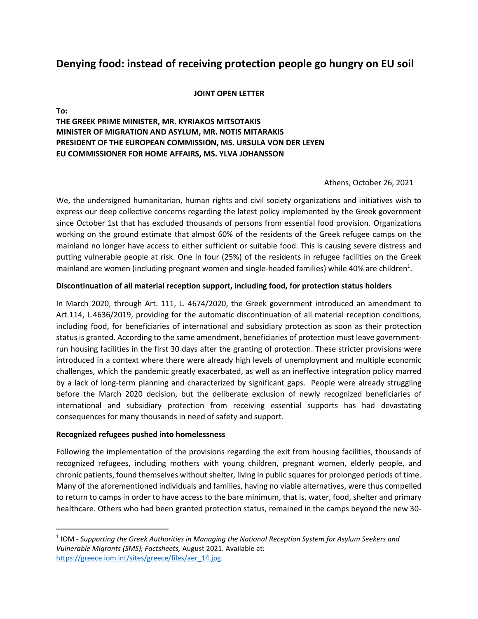# **Denying food: instead of receiving protection people go hungry on EU soil**

#### **JOINT OPEN LETTER**

**To:**

**THE GREEK PRIME MINISTER, MR. KYRIAKOS MITSOTAKIS MINISTER OF MIGRATION AND ASYLUM, MR. NOTIS MITARAKIS PRESIDENT OF THE EUROPEAN COMMISSION, MS. URSULA VON DER LEYEN EU COMMISSIONER FOR HOME AFFAIRS, MS. YLVA JOHANSSON** 

#### Athens, October 26, 2021

We, the undersigned humanitarian, human rights and civil society organizations and initiatives wish to express our deep collective concerns regarding the latest policy implemented by the Greek government since October 1st that has excluded thousands of persons from essential food provision. Organizations working on the ground estimate that almost 60% of the residents of the Greek refugee camps on the mainland no longer have access to either sufficient or suitable food. This is causing severe distress and putting vulnerable people at risk. One in four (25%) of the residents in refugee facilities on the Greek mainland are women (including pregnant women and single-headed families) while 40% are children<sup>1</sup>.

#### **Discontinuation of all material reception support, including food, for protection status holders**

In March 2020, through Art. 111, L. 4674/2020, the Greek government introduced an amendment to Art.114, L.4636/2019, providing for the automatic discontinuation of all material reception conditions, including food, for beneficiaries of international and subsidiary protection as soon as their protection status is granted. According to the same amendment, beneficiaries of protection must leave governmentrun housing facilities in the first 30 days after the granting of protection. These stricter provisions were introduced in a context where there were already high levels of unemployment and multiple economic challenges, which the pandemic greatly exacerbated, as well as an ineffective integration policy marred by a lack of long-term planning and characterized by significant gaps. People were already struggling before the March 2020 decision, but the deliberate exclusion of newly recognized beneficiaries of international and subsidiary protection from receiving essential supports has had devastating consequences for many thousands in need of safety and support.

#### **Recognized refugees pushed into homelessness**

Following the implementation of the provisions regarding the exit from housing facilities, thousands of recognized refugees, including mothers with young children, pregnant women, elderly people, and chronic patients, found themselves without shelter, living in public squares for prolonged periods of time. Many of the aforementioned individuals and families, having no viable alternatives, were thus compelled to return to camps in order to have access to the bare minimum, that is, water, food, shelter and primary healthcare. Others who had been granted protection status, remained in the camps beyond the new 30-

<sup>1</sup> IOM - *Supporting the Greek Authorities in Managing the National Reception System for Asylum Seekers and Vulnerable Migrants (SMS), Factsheets,* August 2021. Available at: [https://greece.iom.int/sites/greece/files/aer\\_14.jpg](https://greece.iom.int/sites/greece/files/aer_14.jpg)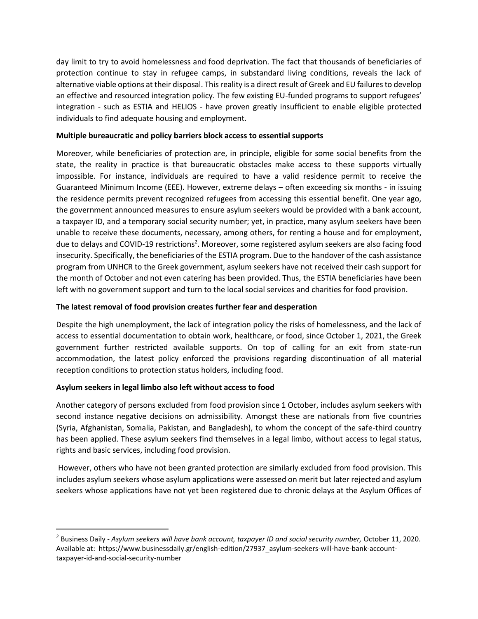day limit to try to avoid homelessness and food deprivation. The fact that thousands of beneficiaries of protection continue to stay in refugee camps, in substandard living conditions, reveals the lack of alternative viable options at their disposal. This reality is a direct result of Greek and EU failures to develop an effective and resourced integration policy. The few existing EU-funded programs to support refugees' integration - such as ESTIA and HELIOS - have proven greatly insufficient to enable eligible protected individuals to find adequate housing and employment.

## **Multiple bureaucratic and policy barriers block access to essential supports**

Moreover, while beneficiaries of protection are, in principle, eligible for some social benefits from the state, the reality in practice is that bureaucratic obstacles make access to these supports virtually impossible. For instance, individuals are required to have a valid residence permit to receive the Guaranteed Minimum Income (EEE). However, extreme delays – often exceeding six months - in issuing the residence permits prevent recognized refugees from accessing this essential benefit. One year ago, the government announced measures to ensure asylum seekers would be provided with a bank account, a taxpayer ID, and a temporary social security number; yet, in practice, many asylum seekers have been unable to receive these documents, necessary, among others, for renting a house and for employment, due to delays and COVID-19 restrictions<sup>2</sup>. Moreover, some registered asylum seekers are also facing food insecurity. Specifically, the beneficiaries of the ESTIA program. Due to the handover of the cash assistance program from UNHCR to the Greek government, asylum seekers have not received their cash support for the month of October and not even catering has been provided. Thus, the ESTIA beneficiaries have been left with no government support and turn to the local social services and charities for food provision.

### **The latest removal of food provision creates further fear and desperation**

Despite the high unemployment, the lack of integration policy the risks of homelessness, and the lack of access to essential documentation to obtain work, healthcare, or food, since October 1, 2021, the Greek government further restricted available supports. On top of calling for an exit from state-run accommodation, the latest policy enforced the provisions regarding discontinuation of all material reception conditions to protection status holders, including food.

# **Asylum seekers in legal limbo also left without access to food**

Another category of persons excluded from food provision since 1 October, includes asylum seekers with second instance negative decisions on admissibility. Amongst these are nationals from five countries (Syria, Afghanistan, Somalia, Pakistan, and Bangladesh), to whom the concept of the safe-third country has been applied. These asylum seekers find themselves in a legal limbo, without access to legal status, rights and basic services, including food provision.

However, others who have not been granted protection are similarly excluded from food provision. This includes asylum seekers whose asylum applications were assessed on merit but later rejected and asylum seekers whose applications have not yet been registered due to chronic delays at the Asylum Offices of

<sup>&</sup>lt;sup>2</sup> Business Daily - Asylum seekers will have bank account, taxpayer ID and social security number, October 11, 2020. Available at: https://www.businessdaily.gr/english-edition/27937\_asylum-seekers-will-have-bank-accounttaxpayer-id-and-social-security-number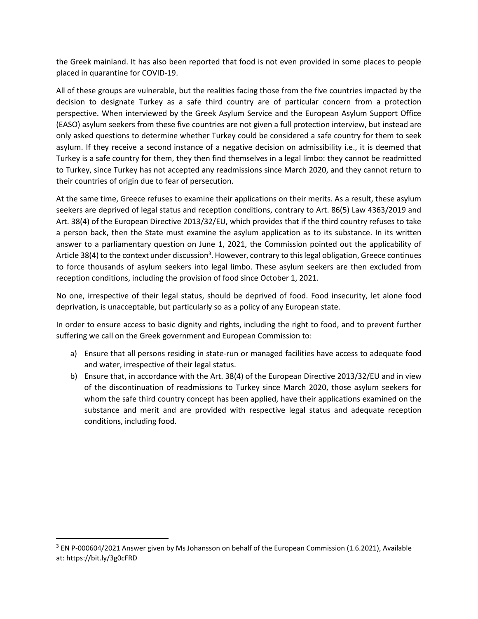the Greek mainland. It has also been reported that food is not even provided in some places to people placed in quarantine for COVID-19.

All of these groups are vulnerable, but the realities facing those from the five countries impacted by the decision to designate Turkey as a safe third country are of particular concern from a protection perspective. When interviewed by the Greek Asylum Service and the European Asylum Support Office (EASO) asylum seekers from these five countries are not given a full protection interview, but instead are only asked questions to determine whether Turkey could be considered a safe country for them to seek asylum. If they receive a second instance of a negative decision on admissibility i.e., it is deemed that Turkey is a safe country for them, they then find themselves in a legal limbo: they cannot be readmitted to Turkey, since Turkey has not accepted any readmissions since March 2020, and they cannot return to their countries of origin due to fear of persecution.

At the same time, Greece refuses to examine their applications on their merits. As a result, these asylum seekers are deprived of legal status and reception conditions, contrary to Art. 86(5) Law 4363/2019 and Art. 38(4) of the European Directive 2013/32/EU, which provides that if the third country refuses to take a person back, then the State must examine the asylum application as to its substance. In its written answer to a parliamentary question on June 1, 2021, the Commission pointed out the applicability of Article 38(4) to the context under discussion<sup>3</sup>. However, contrary to this legal obligation, Greece continues to force thousands of asylum seekers into legal limbo. These asylum seekers are then excluded from reception conditions, including the provision of food since October 1, 2021.

No one, irrespective of their legal status, should be deprived of food. Food insecurity, let alone food deprivation, is unacceptable, but particularly so as a policy of any European state.

In order to ensure access to basic dignity and rights, including the right to food, and to prevent further suffering we call on the Greek government and European Commission to:

- a) Ensure that all persons residing in state-run or managed facilities have access to adequate food and water, irrespective of their legal status.
- b) Ensure that, in accordance with the Art. 38(4) of the European Directive 2013/32/EU and in view of the discontinuation of readmissions to Turkey since March 2020, those asylum seekers for whom the safe third country concept has been applied, have their applications examined on the substance and merit and are provided with respective legal status and adequate reception conditions, including food.

<sup>&</sup>lt;sup>3</sup> EN P-000604/2021 Answer given by Ms Johansson on behalf of the European Commission (1.6.2021), Available at: https://bit.ly/3g0cFRD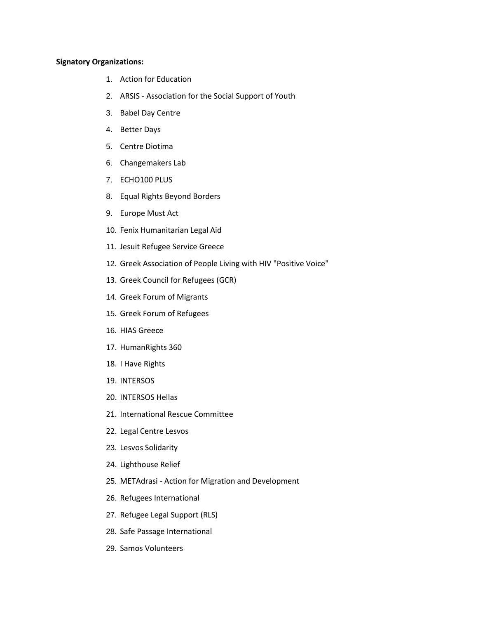#### **Signatory Organizations:**

- 1. Action for Education
- 2. ARSIS Association for the Social Support of Youth
- 3. Babel Day Centre
- 4. Better Days
- 5. Centre Diotima
- 6. Changemakers Lab
- 7. ECHO100 PLUS
- 8. Equal Rights Beyond Borders
- 9. Europe Must Act
- 10. Fenix Humanitarian Legal Aid
- 11. Jesuit Refugee Service Greece
- 12. Greek Association of People Living with HIV "Positive Voice"
- 13. Greek Council for Refugees (GCR)
- 14. Greek Forum of Migrants
- 15. Greek Forum of Refugees
- 16. HIAS Greece
- 17. HumanRights 360
- 18. I Have Rights
- 19. INTERSOS
- 20. INTERSOS Hellas
- 21. International Rescue Committee
- 22. Legal Centre Lesvos
- 23. Lesvos Solidarity
- 24. Lighthouse Relief
- 25. METAdrasi Action for Migration and Development
- 26. Refugees International
- 27. Refugee Legal Support (RLS)
- 28. Safe Passage International
- 29. Samos Volunteers